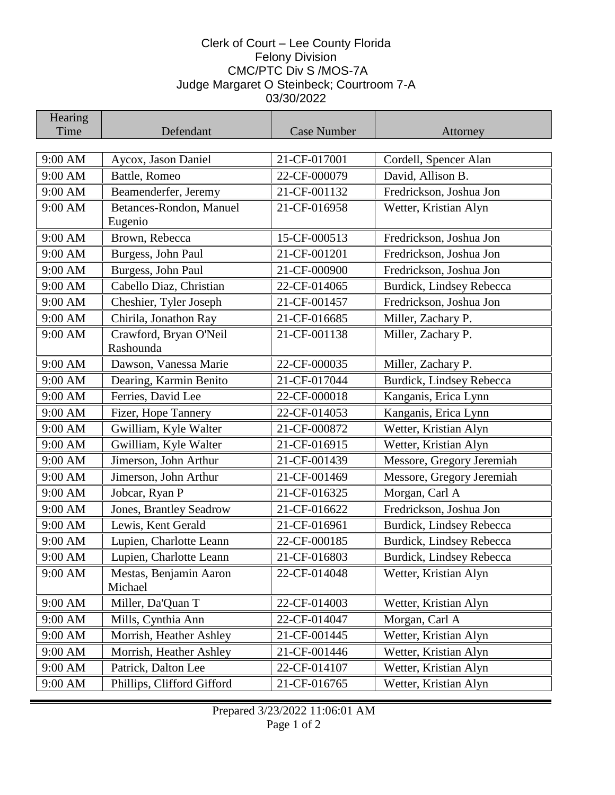## Clerk of Court – Lee County Florida Felony Division CMC/PTC Div S /MOS-7A Judge Margaret O Steinbeck; Courtroom 7-A 03/30/2022

| Hearing |                                     |                    |                           |
|---------|-------------------------------------|--------------------|---------------------------|
| Time    | Defendant                           | <b>Case Number</b> | Attorney                  |
|         |                                     |                    |                           |
| 9:00 AM | Aycox, Jason Daniel                 | 21-CF-017001       | Cordell, Spencer Alan     |
| 9:00 AM | Battle, Romeo                       | 22-CF-000079       | David, Allison B.         |
| 9:00 AM | Beamenderfer, Jeremy                | 21-CF-001132       | Fredrickson, Joshua Jon   |
| 9:00 AM | Betances-Rondon, Manuel<br>Eugenio  | 21-CF-016958       | Wetter, Kristian Alyn     |
| 9:00 AM | Brown, Rebecca                      | 15-CF-000513       | Fredrickson, Joshua Jon   |
| 9:00 AM | Burgess, John Paul                  | 21-CF-001201       | Fredrickson, Joshua Jon   |
| 9:00 AM | Burgess, John Paul                  | 21-CF-000900       | Fredrickson, Joshua Jon   |
| 9:00 AM | Cabello Diaz, Christian             | 22-CF-014065       | Burdick, Lindsey Rebecca  |
| 9:00 AM | Cheshier, Tyler Joseph              | 21-CF-001457       | Fredrickson, Joshua Jon   |
| 9:00 AM | Chirila, Jonathon Ray               | 21-CF-016685       | Miller, Zachary P.        |
| 9:00 AM | Crawford, Bryan O'Neil<br>Rashounda | 21-CF-001138       | Miller, Zachary P.        |
| 9:00 AM | Dawson, Vanessa Marie               | 22-CF-000035       | Miller, Zachary P.        |
| 9:00 AM | Dearing, Karmin Benito              | 21-CF-017044       | Burdick, Lindsey Rebecca  |
| 9:00 AM | Ferries, David Lee                  | 22-CF-000018       | Kanganis, Erica Lynn      |
| 9:00 AM | Fizer, Hope Tannery                 | 22-CF-014053       | Kanganis, Erica Lynn      |
| 9:00 AM | Gwilliam, Kyle Walter               | 21-CF-000872       | Wetter, Kristian Alyn     |
| 9:00 AM | Gwilliam, Kyle Walter               | 21-CF-016915       | Wetter, Kristian Alyn     |
| 9:00 AM | Jimerson, John Arthur               | 21-CF-001439       | Messore, Gregory Jeremiah |
| 9:00 AM | Jimerson, John Arthur               | 21-CF-001469       | Messore, Gregory Jeremiah |
| 9:00 AM | Jobcar, Ryan P                      | 21-CF-016325       | Morgan, Carl A            |
| 9:00 AM | Jones, Brantley Seadrow             | 21-CF-016622       | Fredrickson, Joshua Jon   |
| 9:00 AM | Lewis, Kent Gerald                  | 21-CF-016961       | Burdick, Lindsey Rebecca  |
| 9:00 AM | Lupien, Charlotte Leann             | 22-CF-000185       | Burdick, Lindsey Rebecca  |
| 9:00 AM | Lupien, Charlotte Leann             | 21-CF-016803       | Burdick, Lindsey Rebecca  |
| 9:00 AM | Mestas, Benjamin Aaron<br>Michael   | 22-CF-014048       | Wetter, Kristian Alyn     |
| 9:00 AM | Miller, Da'Quan T                   | 22-CF-014003       | Wetter, Kristian Alyn     |
| 9:00 AM | Mills, Cynthia Ann                  | 22-CF-014047       | Morgan, Carl A            |
| 9:00 AM | Morrish, Heather Ashley             | 21-CF-001445       | Wetter, Kristian Alyn     |
| 9:00 AM | Morrish, Heather Ashley             | 21-CF-001446       | Wetter, Kristian Alyn     |
| 9:00 AM | Patrick, Dalton Lee                 | 22-CF-014107       | Wetter, Kristian Alyn     |
| 9:00 AM | Phillips, Clifford Gifford          | 21-CF-016765       | Wetter, Kristian Alyn     |